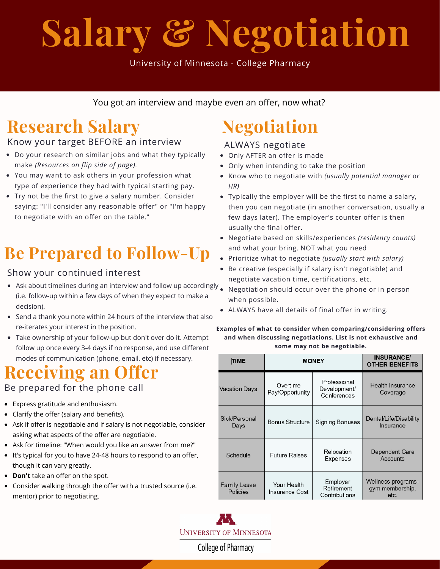# **Salary & Negotiation**

University of Minnesota - College Pharmacy

You got an interview and maybe even an offer, now what?

# **Research Salary**

## Know your target BEFORE an interview

- Do your research on similar jobs and what they typically make *(Resources on flip side of page).*
- You may want to ask others in your profession what type of experience they had with typical starting pay.
- Try not be the first to give a salary number. Consider saying: "I'll consider any reasonable offer" or "I'm happy to negotiate with an offer on the table."

# **Be Prepared to Follow-Up**

## Show your continued interest

- Ask about timelines during an interview and follow up accordingly . (i.e. follow-up within a few days of when they expect to make a decision).
- Send a thank you note within 24 hours of the interview that also re-iterates your interest in the position.
- Take ownership of your follow-up but don't over do it. Attempt follow up once every 3-4 days if no response, and use different modes of communication (phone, email, etc) if necessary.

## **Receiving an Offer**

## Be prepared for the phone call

- Express gratitude and enthusiasm.
- Clarify the offer (salary and benefits).
- Ask if offer is negotiable and if salary is not negotiable, consider asking what aspects of the offer are negotiable.
- Ask for timeline: "When would you like an answer from me?"
- It's typical for you to have 24-48 hours to respond to an offer, though it can vary greatly.
- **Don't** take an offer on the spot.
- Consider walking through the offer with a trusted source (i.e. mentor) prior to negotiating.

# **Negotiation**

## ALWAYS negotiate

- Only AFTER an offer is made
- Only when intending to take the position
- Know who to negotiate with *(usually potential manager or HR)*
- Typically the employer will be the first to name a salary, then you can negotiate (in another conversation, usually a few days later). The employer's counter offer is then usually the final offer.
- Negotiate based on skills/experiences *(residency counts)* and what your bring, NOT what you need
- Prioritize what to negotiate *(usually start with salary)*
- Be creative (especially if salary isn't negotiable) and negotiate vacation time, certifications, etc.
- Negotiation should occur over the phone or in person when possible.
- ALWAYS have all details of final offer in writing.

#### **Examples of what to consider when comparing/considering offers and when discussing negotiations. List is not exhaustive and some may not be negotiable.**

| TIME                     | <b>MONEY</b>                  |                                             | <b>INSURANCE/</b><br><b>OTHER BENEFITS</b>    |
|--------------------------|-------------------------------|---------------------------------------------|-----------------------------------------------|
| Vacation Days            | Overtime<br>Pay/Opportunity   | Professional<br>Development/<br>Conferences | Health Insurance<br>Coverage                  |
| Sick/Personal<br>Days    | <b>Bonus Structure</b>        | <b>Signing Bonuses</b>                      | Dental/Life/Disability<br>Insurance           |
| Schedule                 | <b>Future Raises</b>          | Relocation<br>Expenses                      | Dependent Care<br>Accounts                    |
| Family Leave<br>Policies | Your Health<br>Insurance Cost | Employer<br>Retirement<br>Contributions     | Wellness programs-<br>gym membership,<br>etc. |



College of Pharmacy